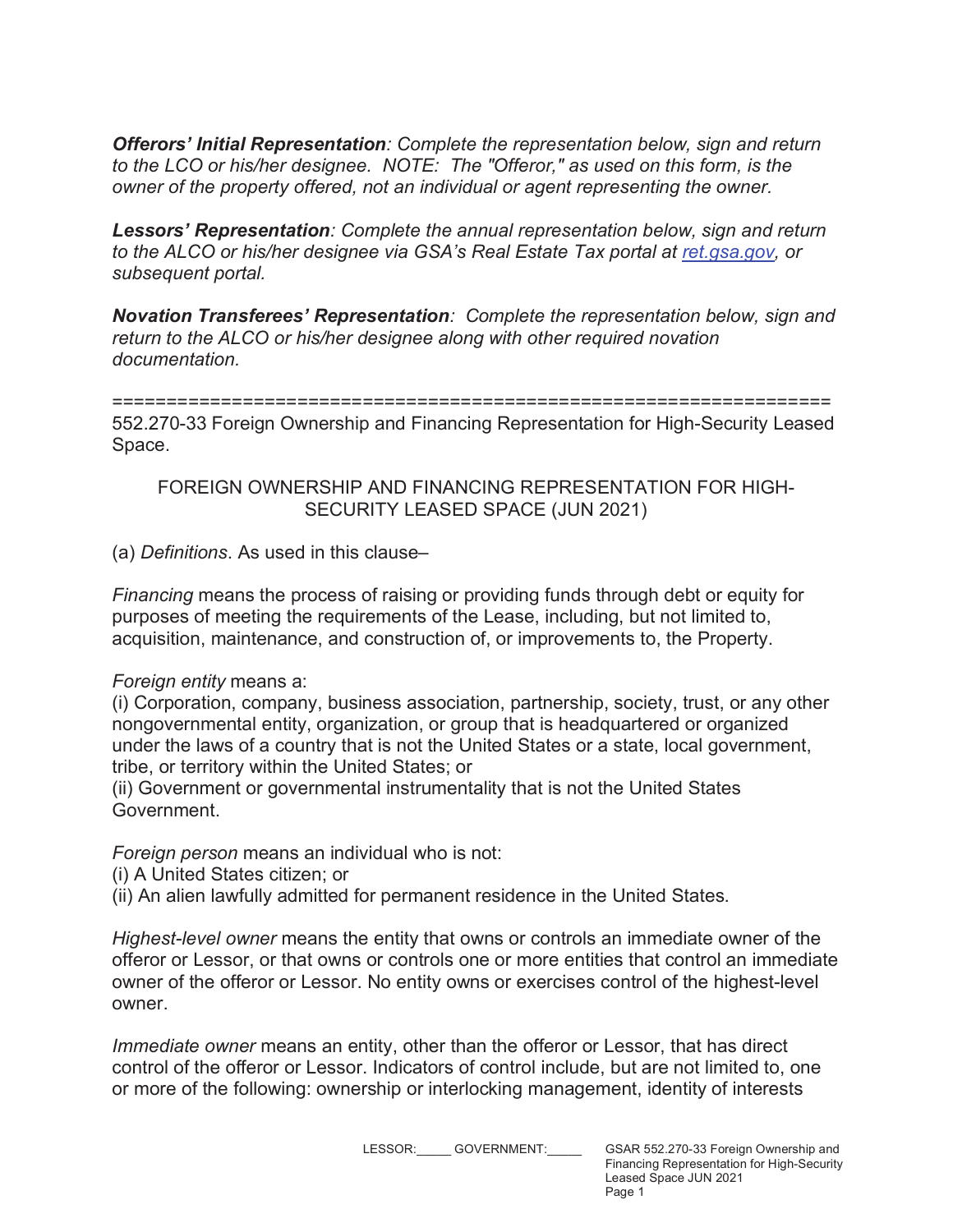*Offerors' Initial Representation: Complete the representation below, sign and return to the LCO or his/her designee. NOTE: The "Offeror," as used on this form, is the owner of the property offered, not an individual or agent representing the owner.*

*Lessors' Representation: Complete the annual representation below, sign and return to the ALCO or his/her designee via GSA's Real Estate Tax portal at ret.gsa.gov, or subsequent portal.*

*Novation Transferees' Representation: Complete the representation below, sign and return to the ALCO or his/her designee along with other required novation documentation.*

## ==================================================================

552.270-33 Foreign Ownership and Financing Representation for High-Security Leased Space.

## FOREIGN OWNERSHIP AND FINANCING REPRESENTATION FOR HIGH-SECURITY LEASED SPACE (JUN 2021)

(a) *Definitions*. As used in this clause–

*Financing* means the process of raising or providing funds through debt or equity for purposes of meeting the requirements of the Lease, including, but not limited to, acquisition, maintenance, and construction of, or improvements to, the Property.

## *Foreign entity* means a:

(i) Corporation, company, business association, partnership, society, trust, or any other nongovernmental entity, organization, or group that is headquartered or organized under the laws of a country that is not the United States or a state, local government, tribe, or territory within the United States; or

(ii) Government or governmental instrumentality that is not the United States Government.

*Foreign person* means an individual who is not:

(i) A United States citizen; or

(ii) An alien lawfully admitted for permanent residence in the United States.

*Highest-level owner* means the entity that owns or controls an immediate owner of the offeror or Lessor, or that owns or controls one or more entities that control an immediate owner of the offeror or Lessor. No entity owns or exercises control of the highest-level owner.

*Immediate owner* means an entity, other than the offeror or Lessor, that has direct control of the offeror or Lessor. Indicators of control include, but are not limited to, one or more of the following: ownership or interlocking management, identity of interests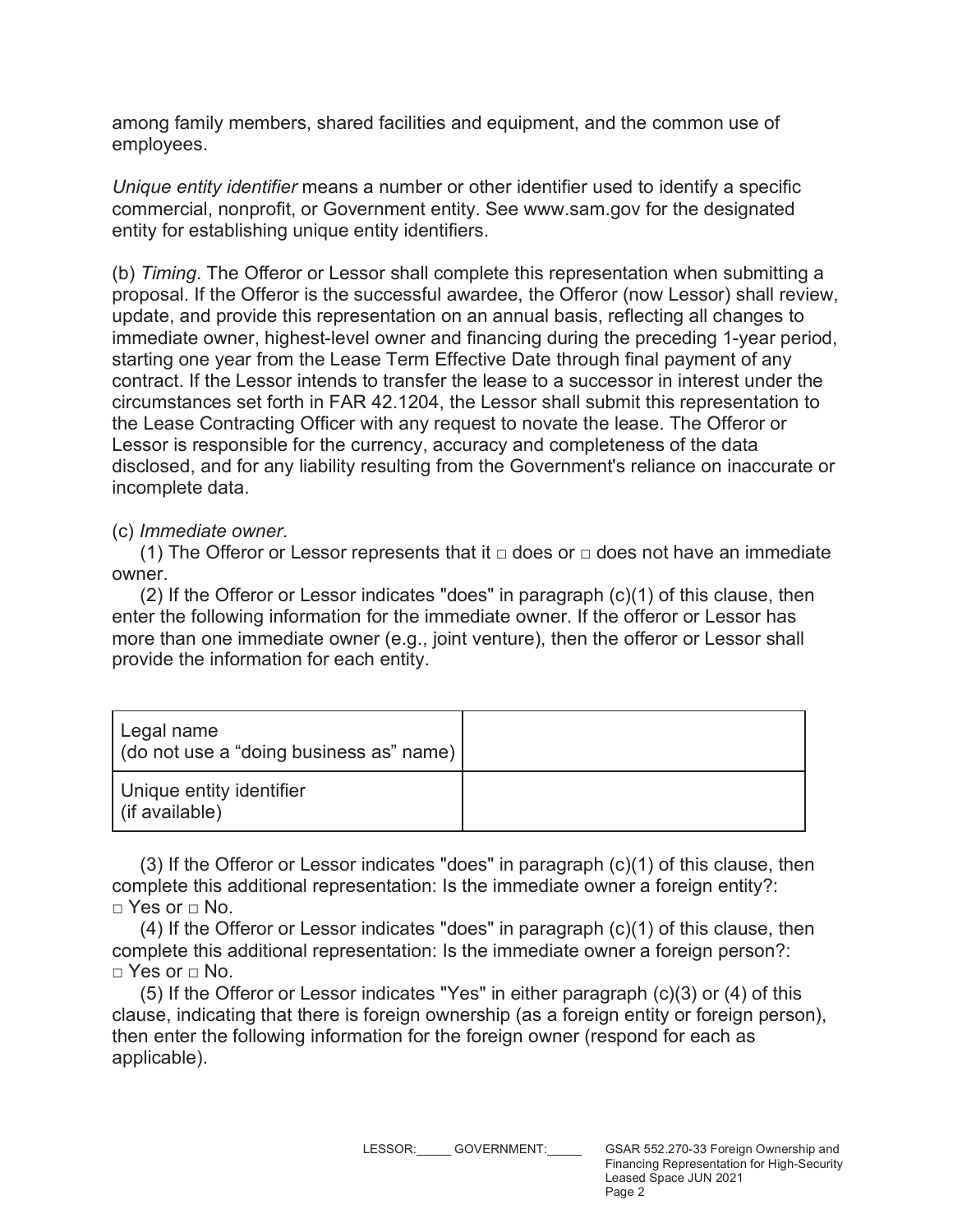among family members, shared facilities and equipment, and the common use of employees.

*Unique entity identifier* means a number or other identifier used to identify a specific commercial, nonprofit, or Government entity. See www.sam.gov for the designated entity for establishing unique entity identifiers.

(b) *Timing*. The Offeror or Lessor shall complete this representation when submitting a proposal. If the Offeror is the successful awardee, the Offeror (now Lessor) shall review, update, and provide this representation on an annual basis, reflecting all changes to immediate owner, highest-level owner and financing during the preceding 1-year period, starting one year from the Lease Term Effective Date through final payment of any contract. If the Lessor intends to transfer the lease to a successor in interest under the circumstances set forth in FAR 42.1204, the Lessor shall submit this representation to the Lease Contracting Officer with any request to novate the lease. The Offeror or Lessor is responsible for the currency, accuracy and completeness of the data disclosed, and for any liability resulting from the Government's reliance on inaccurate or incomplete data.

(c) *Immediate owner*.

(1) The Offeror or Lessor represents that it  $\Box$  does or  $\Box$  does not have an immediate owner.

(2) If the Offeror or Lessor indicates "does" in paragraph (c)(1) of this clause, then enter the following information for the immediate owner. If the offeror or Lessor has more than one immediate owner (e.g., joint venture), then the offeror or Lessor shall provide the information for each entity.

| Legal name<br>(do not use a "doing business as" name) |  |
|-------------------------------------------------------|--|
| Unique entity identifier<br>(if available)            |  |

(3) If the Offeror or Lessor indicates "does" in paragraph (c)(1) of this clause, then complete this additional representation: Is the immediate owner a foreign entity?:  $\sqcap$  Yes or  $\sqcap$  No.

(4) If the Offeror or Lessor indicates "does" in paragraph (c)(1) of this clause, then complete this additional representation: Is the immediate owner a foreign person?:  $\sqcap$  Yes or  $\sqcap$  No.

(5) If the Offeror or Lessor indicates "Yes" in either paragraph (c)(3) or (4) of this clause, indicating that there is foreign ownership (as a foreign entity or foreign person), then enter the following information for the foreign owner (respond for each as applicable).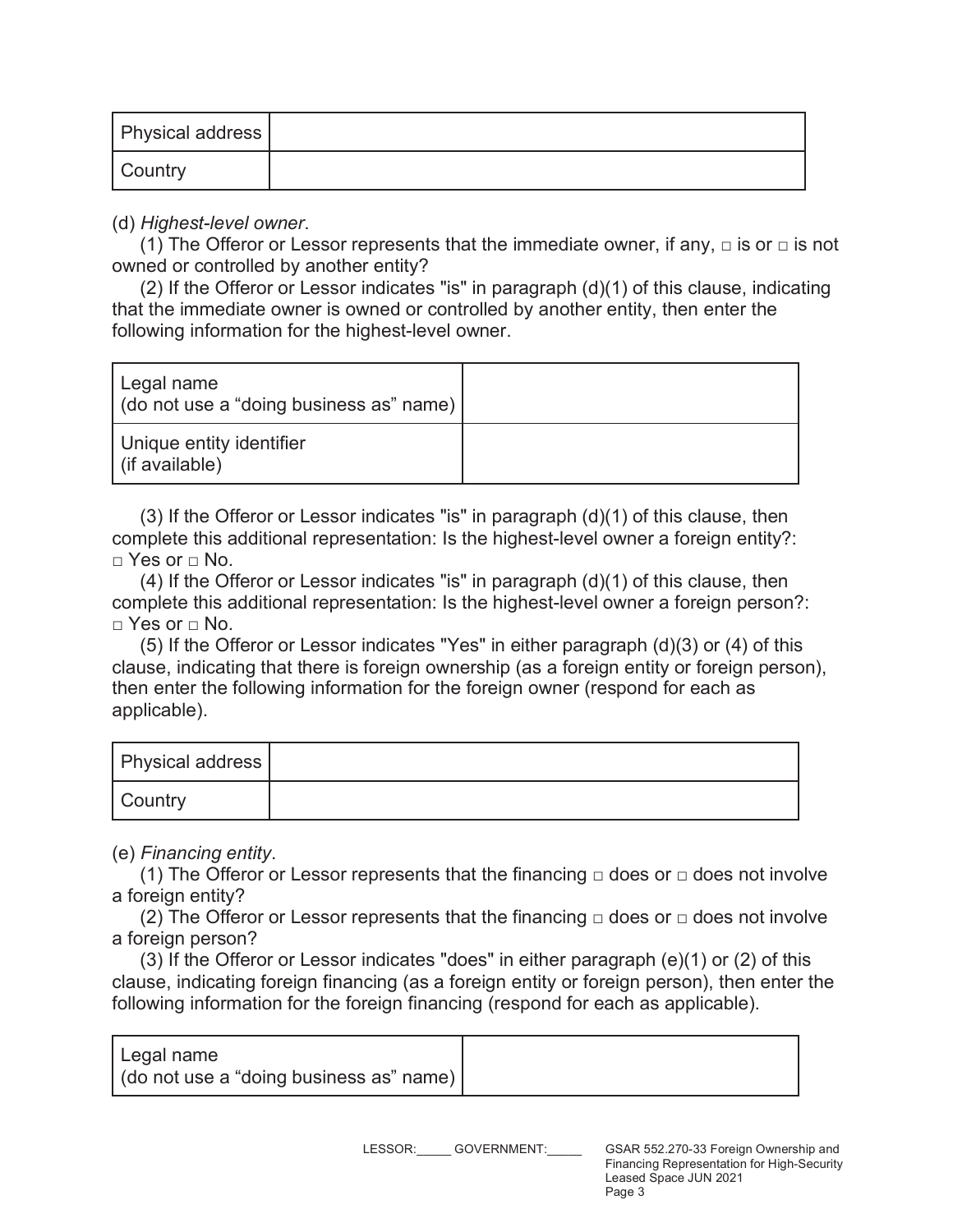| <b>Physical address</b> |  |
|-------------------------|--|
| <b>Country</b>          |  |

(d) *Highest-level owner*.

(1) The Offeror or Lessor represents that the immediate owner, if any,  $\Box$  is or  $\Box$  is not owned or controlled by another entity?

(2) If the Offeror or Lessor indicates "is" in paragraph (d)(1) of this clause, indicating that the immediate owner is owned or controlled by another entity, then enter the following information for the highest-level owner.

| Legal name<br>(do not use a "doing business as" name) |  |
|-------------------------------------------------------|--|
| Unique entity identifier<br>(if available)            |  |

(3) If the Offeror or Lessor indicates "is" in paragraph (d)(1) of this clause, then complete this additional representation: Is the highest-level owner a foreign entity?:  $\sqcap$  Yes or  $\sqcap$  No.

 $(4)$  If the Offeror or Lessor indicates "is" in paragraph  $(d)(1)$  of this clause, then complete this additional representation: Is the highest-level owner a foreign person?:  $\sqcap$  Yes or  $\sqcap$  No.

(5) If the Offeror or Lessor indicates "Yes" in either paragraph (d)(3) or (4) of this clause, indicating that there is foreign ownership (as a foreign entity or foreign person), then enter the following information for the foreign owner (respond for each as applicable).

| <b>Physical address</b> |  |
|-------------------------|--|
| Country                 |  |

(e) *Financing entity*.

(1) The Offeror or Lessor represents that the financing  $\Box$  does or  $\Box$  does not involve a foreign entity?

(2) The Offeror or Lessor represents that the financing  $\Box$  does or  $\Box$  does not involve a foreign person?

(3) If the Offeror or Lessor indicates "does" in either paragraph (e)(1) or (2) of this clause, indicating foreign financing (as a foreign entity or foreign person), then enter the following information for the foreign financing (respond for each as applicable).

| I Legal name                            |  |
|-----------------------------------------|--|
| (do not use a "doing business as" name) |  |